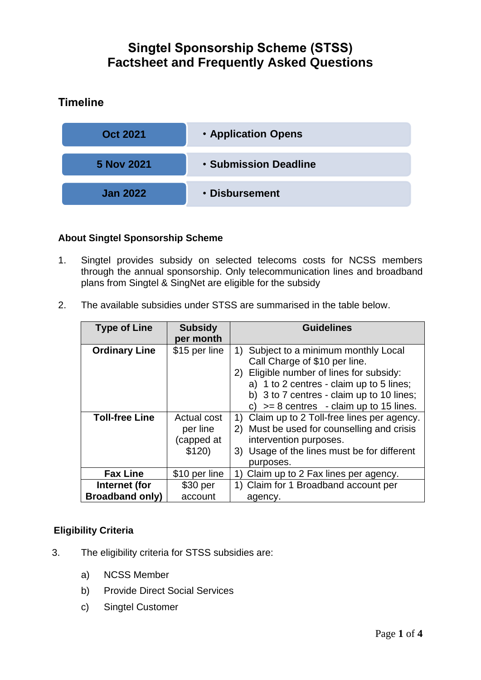# **Singtel Sponsorship Scheme (STSS) Factsheet and Frequently Asked Questions**

# **Timeline**



### **About Singtel Sponsorship Scheme**

- 1. Singtel provides subsidy on selected telecoms costs for NCSS members through the annual sponsorship. Only telecommunication lines and broadband plans from Singtel & SingNet are eligible for the subsidy
- 2. The available subsidies under STSS are summarised in the table below.

| <b>Type of Line</b>    | <b>Subsidy</b><br>per month                     | <b>Guidelines</b>                                                                                                                                                                                                                                              |
|------------------------|-------------------------------------------------|----------------------------------------------------------------------------------------------------------------------------------------------------------------------------------------------------------------------------------------------------------------|
| <b>Ordinary Line</b>   | \$15 per line                                   | Subject to a minimum monthly Local<br>1)<br>Call Charge of \$10 per line.<br>Eligible number of lines for subsidy:<br>2)<br>a) 1 to 2 centres - claim up to 5 lines;<br>b) 3 to 7 centres - claim up to 10 lines;<br>c) $>= 8$ centres - claim up to 15 lines. |
| <b>Toll-free Line</b>  | Actual cost<br>per line<br>(capped at<br>\$120) | Claim up to 2 Toll-free lines per agency.<br>1)<br>Must be used for counselling and crisis<br>2)<br>intervention purposes.<br>Usage of the lines must be for different<br>3)<br>purposes.                                                                      |
| <b>Fax Line</b>        | \$10 per line                                   | Claim up to 2 Fax lines per agency.                                                                                                                                                                                                                            |
| Internet (for          | \$30 per                                        | 1) Claim for 1 Broadband account per                                                                                                                                                                                                                           |
| <b>Broadband only)</b> | account                                         | agency.                                                                                                                                                                                                                                                        |

#### **Eligibility Criteria**

- 3. The eligibility criteria for STSS subsidies are:
	- a) NCSS Member
	- b) Provide Direct Social Services
	- c) Singtel Customer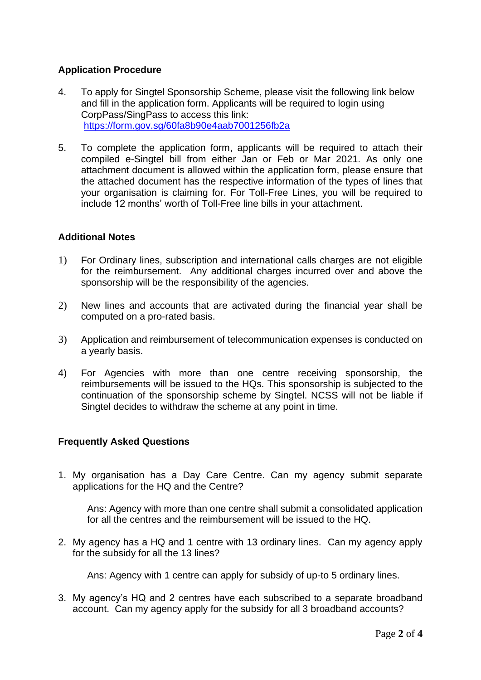## **Application Procedure**

- 4. To apply for Singtel Sponsorship Scheme, please visit the following link below and fill in the application form. Applicants will be required to login using CorpPass/SingPass to access this link: <https://form.gov.sg/60fa8b90e4aab7001256fb2a>
- 5. To complete the application form, applicants will be required to attach their compiled e-Singtel bill from either Jan or Feb or Mar 2021. As only one attachment document is allowed within the application form, please ensure that the attached document has the respective information of the types of lines that your organisation is claiming for. For Toll-Free Lines, you will be required to include 12 months' worth of Toll-Free line bills in your attachment.

#### **Additional Notes**

- 1) For Ordinary lines, subscription and international calls charges are not eligible for the reimbursement. Any additional charges incurred over and above the sponsorship will be the responsibility of the agencies.
- 2) New lines and accounts that are activated during the financial year shall be computed on a pro-rated basis.
- 3) Application and reimbursement of telecommunication expenses is conducted on a yearly basis.
- 4) For Agencies with more than one centre receiving sponsorship, the reimbursements will be issued to the HQs. This sponsorship is subjected to the continuation of the sponsorship scheme by Singtel. NCSS will not be liable if Singtel decides to withdraw the scheme at any point in time.

#### **Frequently Asked Questions**

1. My organisation has a Day Care Centre. Can my agency submit separate applications for the HQ and the Centre?

Ans: Agency with more than one centre shall submit a consolidated application for all the centres and the reimbursement will be issued to the HQ.

2. My agency has a HQ and 1 centre with 13 ordinary lines. Can my agency apply for the subsidy for all the 13 lines?

Ans: Agency with 1 centre can apply for subsidy of up-to 5 ordinary lines.

3. My agency's HQ and 2 centres have each subscribed to a separate broadband account. Can my agency apply for the subsidy for all 3 broadband accounts?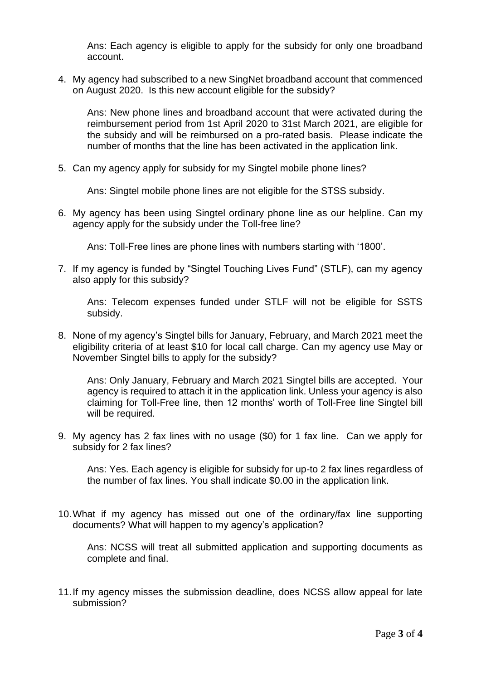Ans: Each agency is eligible to apply for the subsidy for only one broadband account.

4. My agency had subscribed to a new SingNet broadband account that commenced on August 2020. Is this new account eligible for the subsidy?

Ans: New phone lines and broadband account that were activated during the reimbursement period from 1st April 2020 to 31st March 2021, are eligible for the subsidy and will be reimbursed on a pro-rated basis. Please indicate the number of months that the line has been activated in the application link.

5. Can my agency apply for subsidy for my Singtel mobile phone lines?

Ans: Singtel mobile phone lines are not eligible for the STSS subsidy.

6. My agency has been using Singtel ordinary phone line as our helpline. Can my agency apply for the subsidy under the Toll-free line?

Ans: Toll-Free lines are phone lines with numbers starting with '1800'.

7. If my agency is funded by "Singtel Touching Lives Fund" (STLF), can my agency also apply for this subsidy?

Ans: Telecom expenses funded under STLF will not be eligible for SSTS subsidy.

8. None of my agency's Singtel bills for January, February, and March 2021 meet the eligibility criteria of at least \$10 for local call charge. Can my agency use May or November Singtel bills to apply for the subsidy?

Ans: Only January, February and March 2021 Singtel bills are accepted. Your agency is required to attach it in the application link. Unless your agency is also claiming for Toll-Free line, then 12 months' worth of Toll-Free line Singtel bill will be required.

9. My agency has 2 fax lines with no usage (\$0) for 1 fax line. Can we apply for subsidy for 2 fax lines?

Ans: Yes. Each agency is eligible for subsidy for up-to 2 fax lines regardless of the number of fax lines. You shall indicate \$0.00 in the application link.

10.What if my agency has missed out one of the ordinary/fax line supporting documents? What will happen to my agency's application?

Ans: NCSS will treat all submitted application and supporting documents as complete and final.

11.If my agency misses the submission deadline, does NCSS allow appeal for late submission?